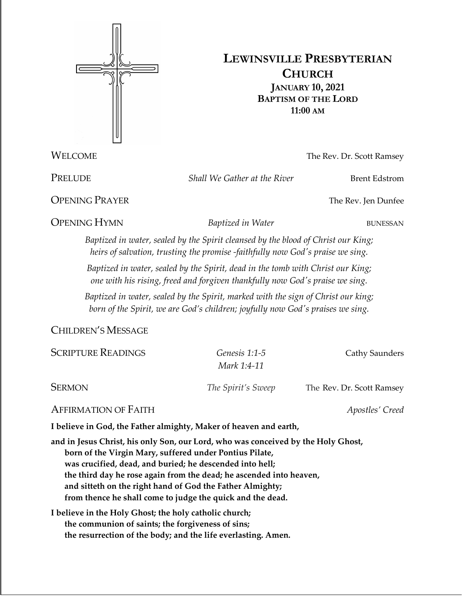

# **LEWINSVILLE PRESBYTERIAN CHURCH JANUARY 10, 2021 BAPTISM OF THE LORD 11:00 AM**

**WELCOME** The Rev. Dr. Scott Ramsey

PRELUDE *Shall We Gather at the River* Brent Edstrom

**OPENING PRAYER** The Rev. Jen Dunfee

**OPENING HYMN** *Baptized in Water* BUNESSAN

*Baptized in water, sealed by the Spirit cleansed by the blood of Christ our King; heirs of salvation, trusting the promise -faithfully now God's praise we sing.*

*Baptized in water, sealed by the Spirit, dead in the tomb with Christ our King; one with his rising, freed and forgiven thankfully now God's praise we sing.*

*Baptized in water, sealed by the Spirit, marked with the sign of Christ our king; born of the Spirit, we are God's children; joyfully now God's praises we sing.*

CHILDREN'S MESSAGE

| <b>SCRIPTURE READINGS</b> | Genesis 1:1-5<br>Mark 1:4-11 | Cathy Saunders            |
|---------------------------|------------------------------|---------------------------|
| <b>SERMON</b>             | The Spirit's Sweep           | The Rev. Dr. Scott Ramsey |

## AFFIRMATION OF FAITH *Apostles' Creed*

**I believe in God, the Father almighty, Maker of heaven and earth,**

**and in Jesus Christ, his only Son, our Lord, who was conceived by the Holy Ghost, born of the Virgin Mary, suffered under Pontius Pilate, was crucified, dead, and buried; he descended into hell; the third day he rose again from the dead; he ascended into heaven, and sitteth on the right hand of God the Father Almighty; from thence he shall come to judge the quick and the dead.**

**I believe in the Holy Ghost; the holy catholic church; the communion of saints; the forgiveness of sins; the resurrection of the body; and the life everlasting. Amen.**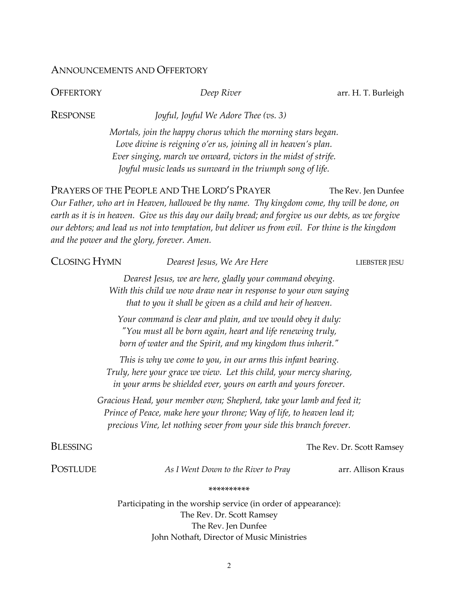## ANNOUNCEMENTS AND OFFERTORY

**OFFERTORY** *Deep River Deep River* arr. H. T. Burleigh

RESPONSE *Joyful, Joyful We Adore Thee (vs. 3)*

*Mortals, join the happy chorus which the morning stars began. Love divine is reigning o'er us, joining all in heaven's plan. Ever singing, march we onward, victors in the midst of strife. Joyful music leads us sunward in the triumph song of life.*

PRAYERS OF THE PEOPLE AND THE LORD'S PRAYER The Rev. Jen Dunfee

*Our Father, who art in Heaven, hallowed be thy name. Thy kingdom come, thy will be done, on earth as it is in heaven. Give us this day our daily bread; and forgive us our debts, as we forgive our debtors; and lead us not into temptation, but deliver us from evil. For thine is the kingdom and the power and the glory, forever. Amen.* 

| <b>CLOSING HYMN</b>                                                                                                                                                                                                      |  | Dearest Jesus, We Are Here                                                                                                                                                                | LIEBSTER JESU             |  |
|--------------------------------------------------------------------------------------------------------------------------------------------------------------------------------------------------------------------------|--|-------------------------------------------------------------------------------------------------------------------------------------------------------------------------------------------|---------------------------|--|
| Dearest Jesus, we are here, gladly your command obeying.<br>With this child we now draw near in response to your own saying<br>that to you it shall be given as a child and heir of heaven.                              |  |                                                                                                                                                                                           |                           |  |
|                                                                                                                                                                                                                          |  | Your command is clear and plain, and we would obey it duly:<br>"You must all be born again, heart and life renewing truly,<br>born of water and the Spirit, and my kingdom thus inherit." |                           |  |
| This is why we come to you, in our arms this infant bearing.<br>Truly, here your grace we view. Let this child, your mercy sharing,<br>in your arms be shielded ever, yours on earth and yours forever.                  |  |                                                                                                                                                                                           |                           |  |
| Gracious Head, your member own; Shepherd, take your lamb and feed it;<br>Prince of Peace, make here your throne; Way of life, to heaven lead it;<br>precious Vine, let nothing sever from your side this branch forever. |  |                                                                                                                                                                                           |                           |  |
| <b>BLESSING</b>                                                                                                                                                                                                          |  |                                                                                                                                                                                           | The Rev. Dr. Scott Ramsey |  |
| POSTLUDE                                                                                                                                                                                                                 |  | As I Went Down to the River to Pray                                                                                                                                                       | arr. Allison Kraus        |  |
| **********                                                                                                                                                                                                               |  |                                                                                                                                                                                           |                           |  |
|                                                                                                                                                                                                                          |  | Participating in the worship service (in order of appearance):<br>The Rev. Dr. Scott Ramsey<br>The Rev. Jen Dunfee<br>John Nothaft, Director of Music Ministries                          |                           |  |